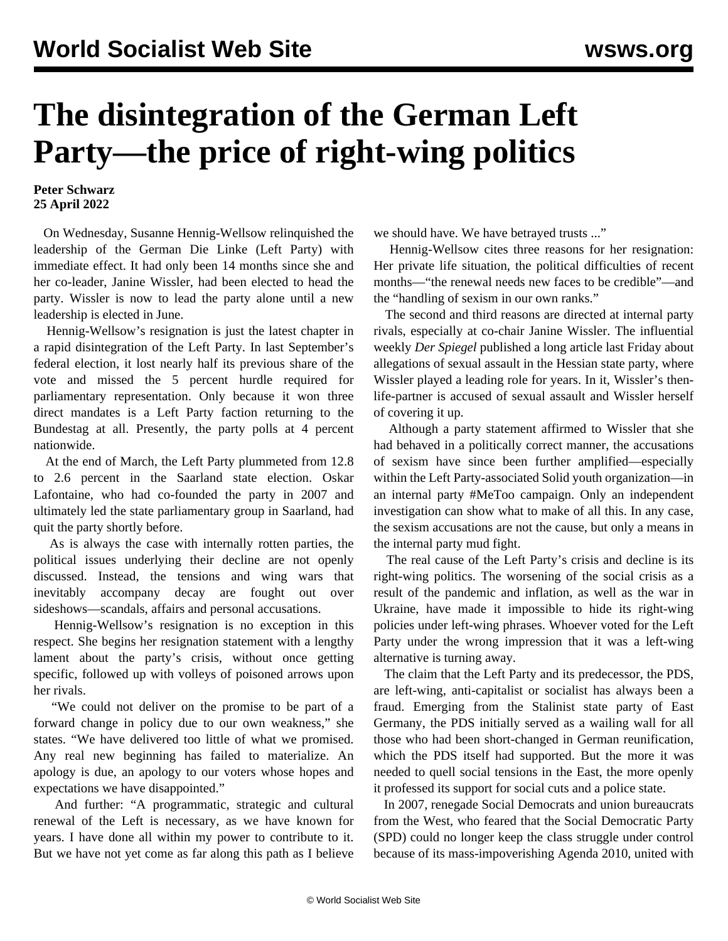## **The disintegration of the German Left Party—the price of right-wing politics**

## **Peter Schwarz 25 April 2022**

 On Wednesday, Susanne Hennig-Wellsow relinquished the leadership of the German Die Linke (Left Party) with immediate effect. It had only been 14 months since she and her co-leader, Janine Wissler, had been elected to head the party. Wissler is now to lead the party alone until a new leadership is elected in June.

 Hennig-Wellsow's resignation is just the latest chapter in a rapid disintegration of the Left Party. In last September's federal election, it lost nearly half its previous share of the vote and missed the 5 percent hurdle required for parliamentary representation. Only because it won three direct mandates is a Left Party faction returning to the Bundestag at all. Presently, the party polls at 4 percent nationwide.

 At the end of March, the Left Party plummeted from 12.8 to 2.6 percent in the Saarland state election. Oskar Lafontaine, who had co-founded the party in 2007 and ultimately led the state parliamentary group in Saarland, had quit the party shortly before.

 As is always the case with internally rotten parties, the political issues underlying their decline are not openly discussed. Instead, the tensions and wing wars that inevitably accompany decay are fought out over sideshows—scandals, affairs and personal accusations.

 Hennig-Wellsow's resignation is no exception in this respect. She begins her resignation statement with a lengthy lament about the party's crisis, without once getting specific, followed up with volleys of poisoned arrows upon her rivals.

 "We could not deliver on the promise to be part of a forward change in policy due to our own weakness," she states. "We have delivered too little of what we promised. Any real new beginning has failed to materialize. An apology is due, an apology to our voters whose hopes and expectations we have disappointed."

 And further: "A programmatic, strategic and cultural renewal of the Left is necessary, as we have known for years. I have done all within my power to contribute to it. But we have not yet come as far along this path as I believe we should have. We have betrayed trusts ..."

 Hennig-Wellsow cites three reasons for her resignation: Her private life situation, the political difficulties of recent months—"the renewal needs new faces to be credible"—and the "handling of sexism in our own ranks."

 The second and third reasons are directed at internal party rivals, especially at co-chair Janine Wissler. The influential weekly *Der Spiegel* published a long article last Friday about allegations of sexual assault in the Hessian state party, where Wissler played a leading role for years. In it, Wissler's thenlife-partner is accused of sexual assault and Wissler herself of covering it up.

 Although a party statement affirmed to Wissler that she had behaved in a politically correct manner, the accusations of sexism have since been further amplified—especially within the Left Party-associated Solid youth organization—in an internal party #MeToo campaign. Only an independent investigation can show what to make of all this. In any case, the sexism accusations are not the cause, but only a means in the internal party mud fight.

 The real cause of the Left Party's crisis and decline is its right-wing politics. The worsening of the social crisis as a result of the pandemic and inflation, as well as the war in Ukraine, have made it impossible to hide its right-wing policies under left-wing phrases. Whoever voted for the Left Party under the wrong impression that it was a left-wing alternative is turning away.

 The claim that the Left Party and its predecessor, the PDS, are left-wing, anti-capitalist or socialist has always been a fraud. Emerging from the Stalinist state party of East Germany, the PDS initially served as a wailing wall for all those who had been short-changed in German reunification, which the PDS itself had supported. But the more it was needed to quell social tensions in the East, the more openly it professed its support for social cuts and a police state.

 In 2007, renegade Social Democrats and union bureaucrats from the West, who feared that the Social Democratic Party (SPD) could no longer keep the class struggle under control because of its mass-impoverishing Agenda 2010, united with